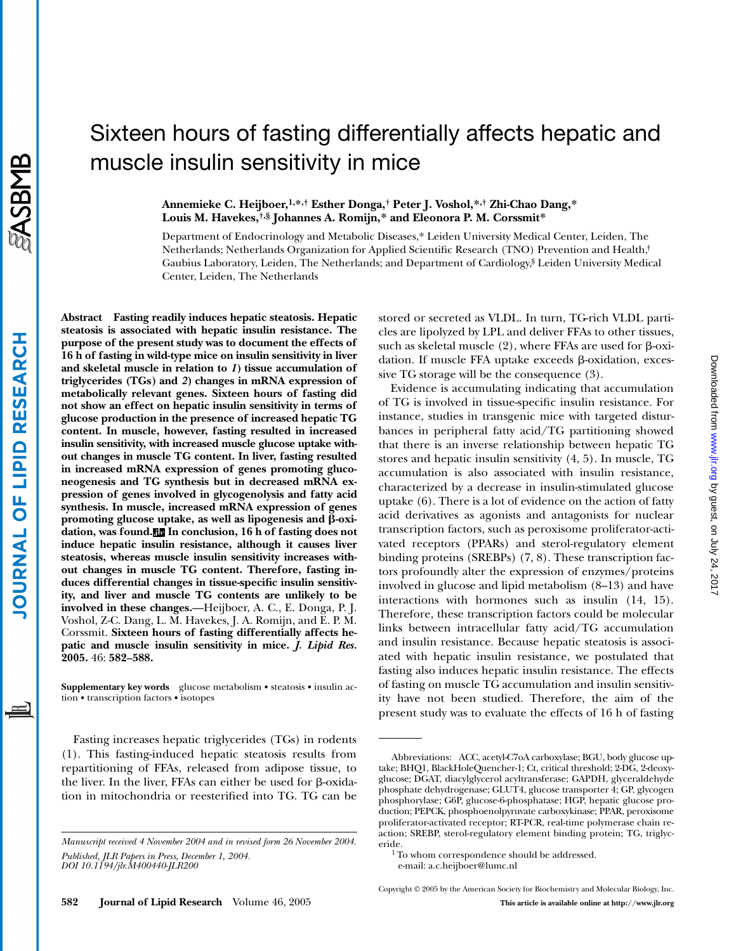# Sixteen hours of fasting differentially affects hepatic and muscle insulin sensitivity in mice

# **Annemieke C. Heijboer,1,\*,† Esther Donga,† Peter J. Voshol,\*,† Zhi-Chao Dang,\* Louis M. Havekes,†,§ Johannes A. Romijn,\* and Eleonora P. M. Corssmit\***

Department of Endocrinology and Metabolic Diseases,\* Leiden University Medical Center, Leiden, The Netherlands; Netherlands Organization for Applied Scientific Research (TNO) Prevention and Health,† Gaubius Laboratory, Leiden, The Netherlands; and Department of Cardiology,§ Leiden University Medical Center, Leiden, The Netherlands

**Abstract Fasting readily induces hepatic steatosis. Hepatic steatosis is associated with hepatic insulin resistance. The purpose of the present study was to document the effects of 16 h of fasting in wild-type mice on insulin sensitivity in liver and skeletal muscle in relation to** *1***) tissue accumulation of triglycerides (TGs) and** *2***) changes in mRNA expression of metabolically relevant genes. Sixteen hours of fasting did not show an effect on hepatic insulin sensitivity in terms of glucose production in the presence of increased hepatic TG content. In muscle, however, fasting resulted in increased insulin sensitivity, with increased muscle glucose uptake without changes in muscle TG content. In liver, fasting resulted in increased mRNA expression of genes promoting gluconeogenesis and TG synthesis but in decreased mRNA expression of genes involved in glycogenolysis and fatty acid synthesis. In muscle, increased mRNA expression of genes** promoting glucose uptake, as well as lipogenesis and  $\beta$ -oxi**dation, was found. In conclusion, 16 h of fasting does not induce hepatic insulin resistance, although it causes liver steatosis, whereas muscle insulin sensitivity increases without changes in muscle TG content. Therefore, fasting induces differential changes in tissue-specific insulin sensitivity, and liver and muscle TG contents are unlikely to be involved in these changes.**—Heijboer, A. C., E. Donga, P. J. Voshol, Z-C. Dang, L. M. Havekes, J. A. Romijn, and E. P. M. Corssmit. **Sixteen hours of fasting differentially affects hepatic and muscle insulin sensitivity in mice.** *J. Lipid Res.* **2005.** 46: **582–588.**

**Supplementary key words** glucose metabolism • steatosis • insulin action • transcription factors • isotopes

Fasting increases hepatic triglycerides (TGs) in rodents (1). This fasting-induced hepatic steatosis results from repartitioning of FFAs, released from adipose tissue, to the liver. In the liver, FFAs can either be used for  $\beta$ -oxidation in mitochondria or reesterified into TG. TG can be

**582 Journal of Lipid Research** Volume 46, 2005 **This article is available online at http://www.jlr.org**

stored or secreted as VLDL. In turn, TG-rich VLDL particles are lipolyzed by LPL and deliver FFAs to other tissues, such as skeletal muscle  $(2)$ , where FFAs are used for  $\beta$ -oxidation. If muscle FFA uptake exceeds  $\beta$ -oxidation, excessive TG storage will be the consequence (3).

Evidence is accumulating indicating that accumulation of TG is involved in tissue-specific insulin resistance. For instance, studies in transgenic mice with targeted disturbances in peripheral fatty acid/TG partitioning showed that there is an inverse relationship between hepatic TG stores and hepatic insulin sensitivity (4, 5). In muscle, TG accumulation is also associated with insulin resistance, characterized by a decrease in insulin-stimulated glucose uptake (6). There is a lot of evidence on the action of fatty acid derivatives as agonists and antagonists for nuclear transcription factors, such as peroxisome proliferator-activated receptors (PPARs) and sterol-regulatory element binding proteins (SREBPs) (7, 8). These transcription factors profoundly alter the expression of enzymes/proteins involved in glucose and lipid metabolism (8–13) and have interactions with hormones such as insulin (14, 15). Therefore, these transcription factors could be molecular links between intracellular fatty acid/TG accumulation and insulin resistance. Because hepatic steatosis is associated with hepatic insulin resistance, we postulated that fasting also induces hepatic insulin resistance. The effects of fasting on muscle TG accumulation and insulin sensitivity have not been studied. Therefore, the aim of the present study was to evaluate the effects of 16 h of fasting

Copyright © 2005 by the American Society for Biochemistry and Molecular Biology, Inc.

*Manuscript received 4 November 2004 and in revised form 26 November 2004. Published, JLR Papers in Press, December 1, 2004. DOI 10.1194/jlr.M400440-JLR200*

Abbreviations: ACC, acetyl-C7oA carboxylase; BGU, body glucose uptake; BHQ1, BlackHoleQuencher-1; Ct, critical threshold; 2-DG, 2-deoxyglucose; DGAT, diacylglycerol acyltransferase; GAPDH, glyceraldehyde phosphate dehydrogenase; GLUT4, glucose transporter 4; GP, glycogen phosphorylase; G6P, glucose-6-phosphatase; HGP, hepatic glucose production; PEPCK, phosphoenolpyruvate carboxykinase; PPAR, peroxisome proliferator-activated receptor; RT-PCR, real-time polymerase chain reaction; SREBP, sterol-regulatory element binding protein; TG, triglyceride.

<sup>&</sup>lt;sup>1</sup> To whom correspondence should be addressed.

e-mail: a.c.heijboer@lumc.nl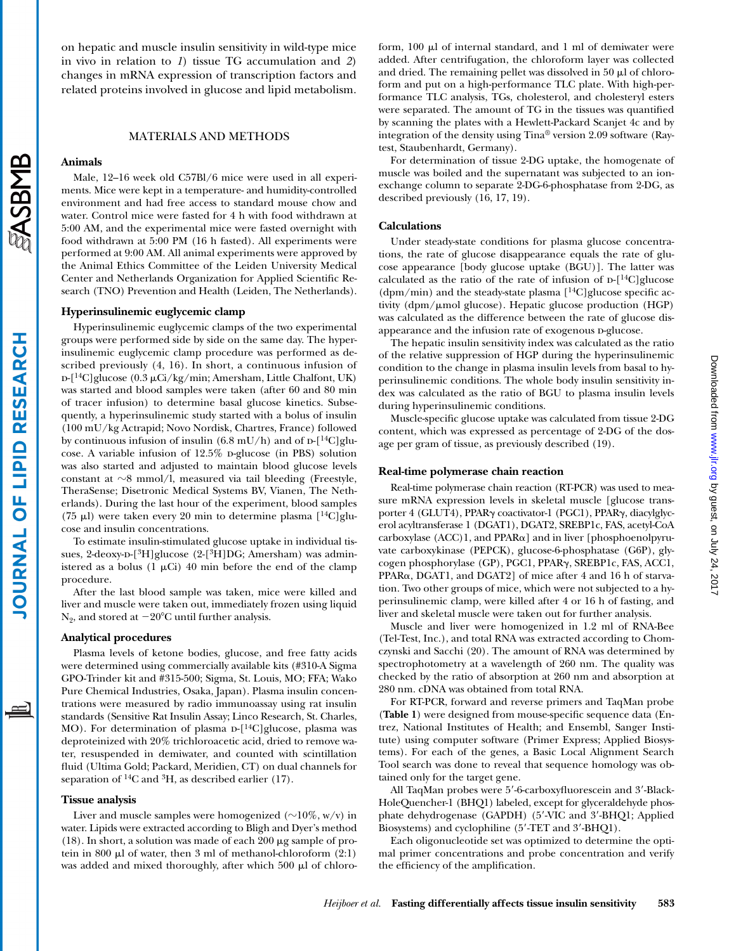ASBMB

**LIPID RESEARCH** 

**OURNAL OF** 

# on hepatic and muscle insulin sensitivity in wild-type mice in vivo in relation to *1*) tissue TG accumulation and *2*) changes in mRNA expression of transcription factors and related proteins involved in glucose and lipid metabolism.

## MATERIALS AND METHODS

#### **Animals**

Male, 12–16 week old C57Bl/6 mice were used in all experiments. Mice were kept in a temperature- and humidity-controlled environment and had free access to standard mouse chow and water. Control mice were fasted for 4 h with food withdrawn at 5:00 AM, and the experimental mice were fasted overnight with food withdrawn at 5:00 PM (16 h fasted). All experiments were performed at 9:00 AM. All animal experiments were approved by the Animal Ethics Committee of the Leiden University Medical Center and Netherlands Organization for Applied Scientific Research (TNO) Prevention and Health (Leiden, The Netherlands).

#### **Hyperinsulinemic euglycemic clamp**

Hyperinsulinemic euglycemic clamps of the two experimental groups were performed side by side on the same day. The hyperinsulinemic euglycemic clamp procedure was performed as described previously (4, 16). In short, a continuous infusion of  $D-[$ <sup>14</sup>C]glucose (0.3  $\mu$ Ci/kg/min; Amersham, Little Chalfont, UK) was started and blood samples were taken (after 60 and 80 min of tracer infusion) to determine basal glucose kinetics. Subsequently, a hyperinsulinemic study started with a bolus of insulin (100 mU/kg Actrapid; Novo Nordisk, Chartres, France) followed by continuous infusion of insulin (6.8 mU/h) and of  $\rm{D}$ -[<sup>14</sup>C]glucose. A variable infusion of  $12.5\%$  p-glucose (in PBS) solution was also started and adjusted to maintain blood glucose levels constant at  $\sim$ 8 mmol/l, measured via tail bleeding (Freestyle, TheraSense; Disetronic Medical Systems BV, Vianen, The Netherlands). During the last hour of the experiment, blood samples (75 µl) were taken every 20 min to determine plasma  $[$ <sup>14</sup>C]glucose and insulin concentrations.

To estimate insulin-stimulated glucose uptake in individual tissues, 2-deoxy-D- $[^3H]$ glucose (2- $[^3H]DG$ ; Amersham) was administered as a bolus (1  $\mu$ Ci) 40 min before the end of the clamp procedure.

After the last blood sample was taken, mice were killed and liver and muscle were taken out, immediately frozen using liquid  $N_2$ , and stored at  $-20^{\circ}$ C until further analysis.

#### **Analytical procedures**

Plasma levels of ketone bodies, glucose, and free fatty acids were determined using commercially available kits (#310-A Sigma GPO-Trinder kit and #315-500; Sigma, St. Louis, MO; FFA; Wako Pure Chemical Industries, Osaka, Japan). Plasma insulin concentrations were measured by radio immunoassay using rat insulin standards (Sensitive Rat Insulin Assay; Linco Research, St. Charles, MO). For determination of plasma  $D-[14C]$ glucose, plasma was deproteinized with 20% trichloroacetic acid, dried to remove water, resuspended in demiwater, and counted with scintillation fluid (Ultima Gold; Packard, Meridien, CT) on dual channels for separation of  ${}^{14}C$  and  ${}^{3}H$ , as described earlier (17).

#### **Tissue analysis**

Liver and muscle samples were homogenized ( $\sim$ 10%, w/v) in water. Lipids were extracted according to Bligh and Dyer's method (18). In short, a solution was made of each 200  $\mu$ g sample of protein in 800  $\mu$ l of water, then 3 ml of methanol-chloroform (2:1) was added and mixed thoroughly, after which  $500 \mu l$  of chloroform,  $100 \mu l$  of internal standard, and 1 ml of demiwater were added. After centrifugation, the chloroform layer was collected and dried. The remaining pellet was dissolved in 50  $\mu$ l of chloroform and put on a high-performance TLC plate. With high-performance TLC analysis, TGs, cholesterol, and cholesteryl esters were separated. The amount of TG in the tissues was quantified by scanning the plates with a Hewlett-Packard Scanjet 4c and by integration of the density using Tina® version 2.09 software (Raytest, Staubenhardt, Germany).

For determination of tissue 2-DG uptake, the homogenate of muscle was boiled and the supernatant was subjected to an ionexchange column to separate 2-DG-6-phosphatase from 2-DG, as described previously (16, 17, 19).

## **Calculations**

Under steady-state conditions for plasma glucose concentrations, the rate of glucose disappearance equals the rate of glucose appearance [body glucose uptake (BGU)]. The latter was calculated as the ratio of the rate of infusion of  $D-[14C]$ glucose  $(dpm/min)$  and the steady-state plasma  $[$ <sup>14</sup>C]glucose specific activity (dpm/ $\mu$ mol glucose). Hepatic glucose production (HGP) was calculated as the difference between the rate of glucose disappearance and the infusion rate of exogenous p-glucose.

The hepatic insulin sensitivity index was calculated as the ratio of the relative suppression of HGP during the hyperinsulinemic condition to the change in plasma insulin levels from basal to hyperinsulinemic conditions. The whole body insulin sensitivity index was calculated as the ratio of BGU to plasma insulin levels during hyperinsulinemic conditions.

Muscle-specific glucose uptake was calculated from tissue 2-DG content, which was expressed as percentage of 2-DG of the dosage per gram of tissue, as previously described (19).

#### **Real-time polymerase chain reaction**

Real-time polymerase chain reaction (RT-PCR) was used to measure mRNA expression levels in skeletal muscle [glucose transporter 4 (GLUT4), PPAR $\gamma$  coactivator-1 (PGC1), PPAR $\gamma$ , diacylglycerol acyltransferase 1 (DGAT1), DGAT2, SREBP1c, FAS, acetyl-CoA carboxylase  $(ACC)1$ , and  $PPAR\alpha$ ] and in liver [phosphoenolpyruvate carboxykinase (PEPCK), glucose-6-phosphatase (G6P), glycogen phosphorylase (GP), PGC1, PPARγ, SREBP1c, FAS, ACC1,  $PPAR\alpha$ , DGAT1, and DGAT2] of mice after 4 and 16 h of starvation. Two other groups of mice, which were not subjected to a hyperinsulinemic clamp, were killed after 4 or 16 h of fasting, and liver and skeletal muscle were taken out for further analysis.

Muscle and liver were homogenized in 1.2 ml of RNA-Bee (Tel-Test, Inc.), and total RNA was extracted according to Chomczynski and Sacchi (20). The amount of RNA was determined by spectrophotometry at a wavelength of 260 nm. The quality was checked by the ratio of absorption at 260 nm and absorption at 280 nm. cDNA was obtained from total RNA.

For RT-PCR, forward and reverse primers and TaqMan probe (**Table 1**) were designed from mouse-specific sequence data (Entrez, National Institutes of Health; and Ensembl, Sanger Institute) using computer software (Primer Express; Applied Biosystems). For each of the genes, a Basic Local Alignment Search Tool search was done to reveal that sequence homology was obtained only for the target gene.

All TaqMan probes were 5'-6-carboxyfluorescein and 3'-Black-HoleQuencher-1 (BHQ1) labeled, except for glyceraldehyde phosphate dehydrogenase (GAPDH) (5'-VIC and 3'-BHQ1; Applied Biosystems) and cyclophiline (5-TET and 3-BHQ1).

Each oligonucleotide set was optimized to determine the optimal primer concentrations and probe concentration and verify the efficiency of the amplification.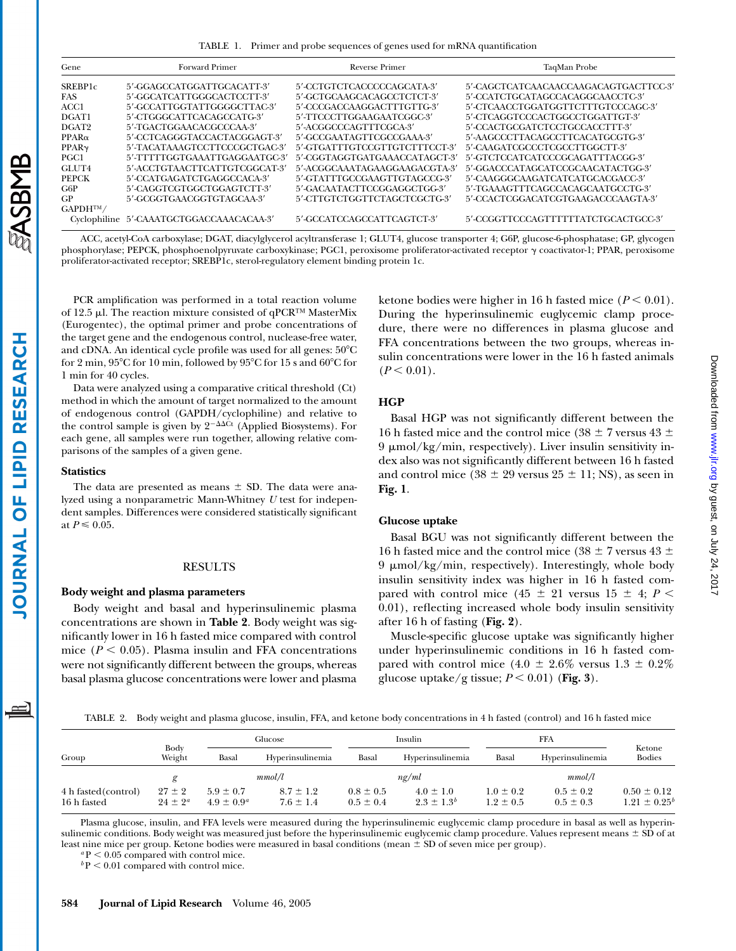TABLE 1. Primer and probe sequences of genes used for mRNA quantification

| Gene                 | <b>Forward Primer</b>                    | Reverse Primer                | TaqMan Probe                          |
|----------------------|------------------------------------------|-------------------------------|---------------------------------------|
| SREBP <sub>1</sub> c | 5'-GGAGCCATGGATTGCACATT-3'               | 5'-CCTGTCTCACCCCCAGCATA-3'    | 5'-CAGCTCATCAACAACCAAGACAGTGACTTCC-3' |
| <b>FAS</b>           | 5'-GGCATCATTGGGCACTCCTT-3'               | 5'-GCTGCAAGCACAGCCTCTCT-3'    | 5'-CCATCTGCATAGCCACAGGCAACCTC-3'      |
| ACC1                 | 5'-GCCATTGGTATTGGGGCTTAC-3'              | 5'-CCCGACCAAGGACTTTGTTG-3'    | 5'-CTCAACCTGGATGGTTCTTTGTCCCAGC-3'    |
| DGAT1                | 5'-CTGGGCATTCACAGCCATG-3'                | 5'-TTCCCTTGGAAGAATCGGC-3'     | 5'-CTCAGGTCCCACTGGCCTGGATTGT-3'       |
| DGAT <sub>2</sub>    | 5'-TGACTGGAACACGCCCAA-3'                 | 5'-ACGGCCCAGTTTCGCA-3'        | 5'-CCACTGCGATCTCCTGCCACCTTT-3'        |
| $PPAR\alpha$         | 5'-CCTCAGGGTACCACTACGGAGT-3'             | 5'-GCCGAATAGTTCGCCGAAA-3'     | 5'-AAGCCCTTACAGCCTTCACATGCGTG-3'      |
| PPAR <sub>Y</sub>    | 5'-TACATAAAGTCCTTCCCGCTGAC-3'            | 5'-GTGATTTGTCCGTTGTCTTTCCT-3' | 5'-CAAGATCGCCCTCGCCTTGGCTT-3'         |
| PGC1                 | 5'-TTTTTGGTGAAATTGAGGAATGC-3'            | 5'-CGGTAGGTGATGAAACCATAGCT-3' | 5'-GTCTCCATCATCCCGCAGATTTACGG-3'      |
| GLUT4                | 5'-ACCTGTAACTTCATTGTCGGCAT-3'            | 5'-ACGGCAAATAGAAGGAAGACGTA-3' | 5'-GGACCCATAGCATCCGCAACATACTGG-3'     |
| <b>PEPCK</b>         | 5'-CCATGAGATCTGAGGCCACA-3'               | 5'-GTATTTGCCGAAGTTGTAGCCG-3'  | 5'-CAAGGGCAAGATCATCATGCACGACC-3'      |
| G6P                  | 5'-CAGGTCGTGGCTGGAGTCTT-3'               | 5'-GACAATACTTCCGGAGGCTGG-3'   | 5'-TGAAAGTTTCAGCCACAGCAATGCCTG-3'     |
| <b>GP</b>            | 5'-GCGGTGAACGGTGTAGCAA-3'                | 5'-CTTGTCTGGTTCTAGCTCGCTG-3'  | 5'-CCACTCGGACATCGTGAAGACCCAAGTA-3'    |
| $GAPDH^{TM}$         |                                          |                               |                                       |
|                      | Cyclophiline 5'-CAAATGCTGGACCAAACACAA-3' | 5'-GCCATCCAGCCATTCAGTCT-3'    | 5'-CCGGTTCCCAGTTTTTTATCTGCACTGCC-3'   |

ACC, acetyl-CoA carboxylase; DGAT, diacylglycerol acyltransferase 1; GLUT4, glucose transporter 4; G6P, glucose-6-phosphatase; GP, glycogen phosphorylase; PEPCK, phosphoenolpyruvate carboxykinase; PGC1, peroxisome proliferator-activated receptor  $\gamma$  coactivator-1; PPAR, peroxisome proliferator-activated receptor; SREBP1c, sterol-regulatory element binding protein 1c.

PCR amplification was performed in a total reaction volume of 12.5  $\mu$ l. The reaction mixture consisted of qPCR™ MasterMix (Eurogentec), the optimal primer and probe concentrations of the target gene and the endogenous control, nuclease-free water, and cDNA. An identical cycle profile was used for all genes:  $50^{\circ}$ C for 2 min,  $95^{\circ}$ C for 10 min, followed by  $95^{\circ}$ C for 15 s and 60 $^{\circ}$ C for 1 min for 40 cycles.

Data were analyzed using a comparative critical threshold (Ct) method in which the amount of target normalized to the amount of endogenous control (GAPDH/cyclophiline) and relative to the control sample is given by  $2^{-\Delta\Delta Ct}$  (Applied Biosystems). For each gene, all samples were run together, allowing relative comparisons of the samples of a given gene.

#### **Statistics**

The data are presented as means  $\pm$  SD. The data were analyzed using a nonparametric Mann-Whitney *U* test for independent samples. Differences were considered statistically significant at  $P \leq 0.05$ .

#### RESULTS

### **Body weight and plasma parameters**

Body weight and basal and hyperinsulinemic plasma concentrations are shown in **Table 2**. Body weight was significantly lower in 16 h fasted mice compared with control mice  $(P < 0.05)$ . Plasma insulin and FFA concentrations were not significantly different between the groups, whereas basal plasma glucose concentrations were lower and plasma ketone bodies were higher in 16 h fasted mice  $(P < 0.01)$ . During the hyperinsulinemic euglycemic clamp procedure, there were no differences in plasma glucose and FFA concentrations between the two groups, whereas insulin concentrations were lower in the 16 h fasted animals  $(P < 0.01)$ .

#### **HGP**

Basal HGP was not significantly different between the 16 h fasted mice and the control mice (38  $\pm$  7 versus 43  $\pm$  $9 \mu \text{mol/kg/min}$ , respectively). Liver insulin sensitivity index also was not significantly different between 16 h fasted and control mice  $(38 \pm 29 \text{ versus } 25 \pm 11; \text{NS})$ , as seen in **Fig. 1**.

# **Glucose uptake**

Basal BGU was not significantly different between the 16 h fasted mice and the control mice (38  $\pm$  7 versus 43  $\pm$  $9 \mu \text{mol/kg/min}$ , respectively). Interestingly, whole body insulin sensitivity index was higher in 16 h fasted compared with control mice  $(45 \pm 21)$  versus  $15 \pm 4$ ;  $P \le$ 0.01), reflecting increased whole body insulin sensitivity after 16 h of fasting (**Fig. 2**).

Muscle-specific glucose uptake was significantly higher under hyperinsulinemic conditions in 16 h fasted compared with control mice  $(4.0 \pm 2.6\%$  versus  $1.3 \pm 0.2\%$ glucose uptake/g tissue;  $P < 0.01$ ) (Fig. 3).

TABLE 2. Body weight and plasma glucose, insulin, FFA, and ketone body concentrations in 4 h fasted (control) and 16 h fasted mice

|                                     |                            | Glucose                          |                                | Insulin                        |                                    | <b>FFA</b>                     |                                |                                      |
|-------------------------------------|----------------------------|----------------------------------|--------------------------------|--------------------------------|------------------------------------|--------------------------------|--------------------------------|--------------------------------------|
| Group                               | Body<br>Weight             | Basal                            | Hyperinsulinemia               | Basal                          | Hyperinsulinemia                   | Basal                          | Hyperinsulinemia               | Ketone<br><b>Bodies</b>              |
|                                     |                            |                                  | mmol/l                         |                                | $n\pi/ml$                          |                                | mmol/l                         |                                      |
| 4 h fasted (control)<br>16 h fasted | $27 \pm 2$<br>$24 \pm 2^a$ | $5.9 \pm 0.7$<br>$4.9 \pm 0.9^a$ | $8.7 \pm 1.2$<br>$7.6 \pm 1.4$ | $0.8 \pm 0.5$<br>$0.5 \pm 0.4$ | $4.0 \pm 1.0$<br>$2.3 \pm 1.3^{b}$ | $1.0 \pm 0.2$<br>$1.2 \pm 0.5$ | $0.5 \pm 0.2$<br>$0.5 \pm 0.3$ | $0.50 \pm 0.12$<br>$1.21 \pm 0.25^t$ |

Plasma glucose, insulin, and FFA levels were measured during the hyperinsulinemic euglycemic clamp procedure in basal as well as hyperinsulinemic conditions. Body weight was measured just before the hyperinsulinemic euglycemic clamp procedure. Values represent means  $\pm$  SD of at least nine mice per group. Ketone bodies were measured in basal conditions (mean  $\pm$  SD of seven mice per group).

 ${}^a$ P  $\leq$  0.05 compared with control mice.  $b$  P  $\leq$  0.01 compared with control mice.

**ASBMB**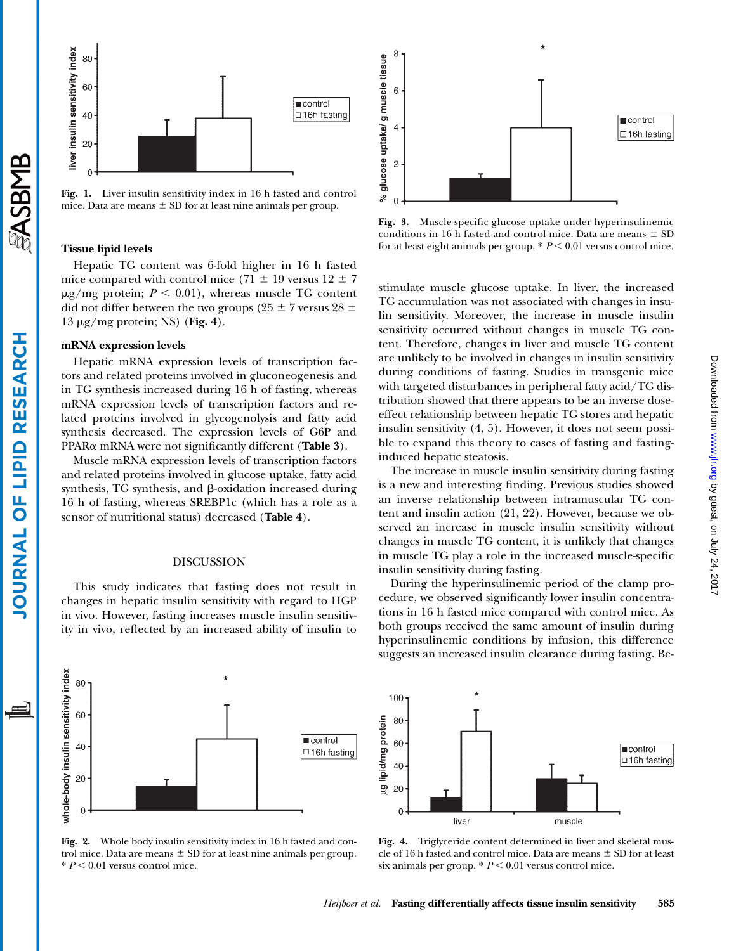



**Fig. 1.** Liver insulin sensitivity index in 16 h fasted and control mice. Data are means  $\pm$  SD for at least nine animals per group.

# **Tissue lipid levels**

Hepatic TG content was 6-fold higher in 16 h fasted mice compared with control mice (71  $\pm$  19 versus 12  $\pm$  7  $\mu$ g/mg protein;  $P \leq 0.01$ ), whereas muscle TG content did not differ between the two groups (25  $\pm$  7 versus 28  $\pm$  $13 \mu$ g/mg protein; NS) (**Fig. 4**).

#### **mRNA expression levels**

Hepatic mRNA expression levels of transcription factors and related proteins involved in gluconeogenesis and in TG synthesis increased during 16 h of fasting, whereas mRNA expression levels of transcription factors and related proteins involved in glycogenolysis and fatty acid synthesis decreased. The expression levels of G6P and  $PPAR\alpha$  mRNA were not significantly different (**Table 3**).

Muscle mRNA expression levels of transcription factors and related proteins involved in glucose uptake, fatty acid synthesis, TG synthesis, and  $\beta$ -oxidation increased during 16 h of fasting, whereas SREBP1c (which has a role as a sensor of nutritional status) decreased (**Table 4**).

## DISCUSSION

This study indicates that fasting does not result in changes in hepatic insulin sensitivity with regard to HGP in vivo. However, fasting increases muscle insulin sensitivity in vivo, reflected by an increased ability of insulin to





**Fig. 3.** Muscle-specific glucose uptake under hyperinsulinemic conditions in 16 h fasted and control mice. Data are means  $\pm$  SD for at least eight animals per group.  $* P < 0.01$  versus control mice.

stimulate muscle glucose uptake. In liver, the increased TG accumulation was not associated with changes in insulin sensitivity. Moreover, the increase in muscle insulin sensitivity occurred without changes in muscle TG content. Therefore, changes in liver and muscle TG content are unlikely to be involved in changes in insulin sensitivity during conditions of fasting. Studies in transgenic mice with targeted disturbances in peripheral fatty acid/TG distribution showed that there appears to be an inverse doseeffect relationship between hepatic TG stores and hepatic insulin sensitivity (4, 5). However, it does not seem possible to expand this theory to cases of fasting and fastinginduced hepatic steatosis.

The increase in muscle insulin sensitivity during fasting is a new and interesting finding. Previous studies showed an inverse relationship between intramuscular TG content and insulin action (21, 22). However, because we observed an increase in muscle insulin sensitivity without changes in muscle TG content, it is unlikely that changes in muscle TG play a role in the increased muscle-specific insulin sensitivity during fasting.

During the hyperinsulinemic period of the clamp procedure, we observed significantly lower insulin concentrations in 16 h fasted mice compared with control mice. As both groups received the same amount of insulin during hyperinsulinemic conditions by infusion, this difference suggests an increased insulin clearance during fasting. Be-



**Fig. 2.** Whole body insulin sensitivity index in 16 h fasted and control mice. Data are means  $\pm$  SD for at least nine animals per group.  $* P < 0.01$  versus control mice.

**Fig. 4.** Triglyceride content determined in liver and skeletal muscle of 16 h fasted and control mice. Data are means  $\pm$  SD for at least six animals per group.  $* P < 0.01$  versus control mice.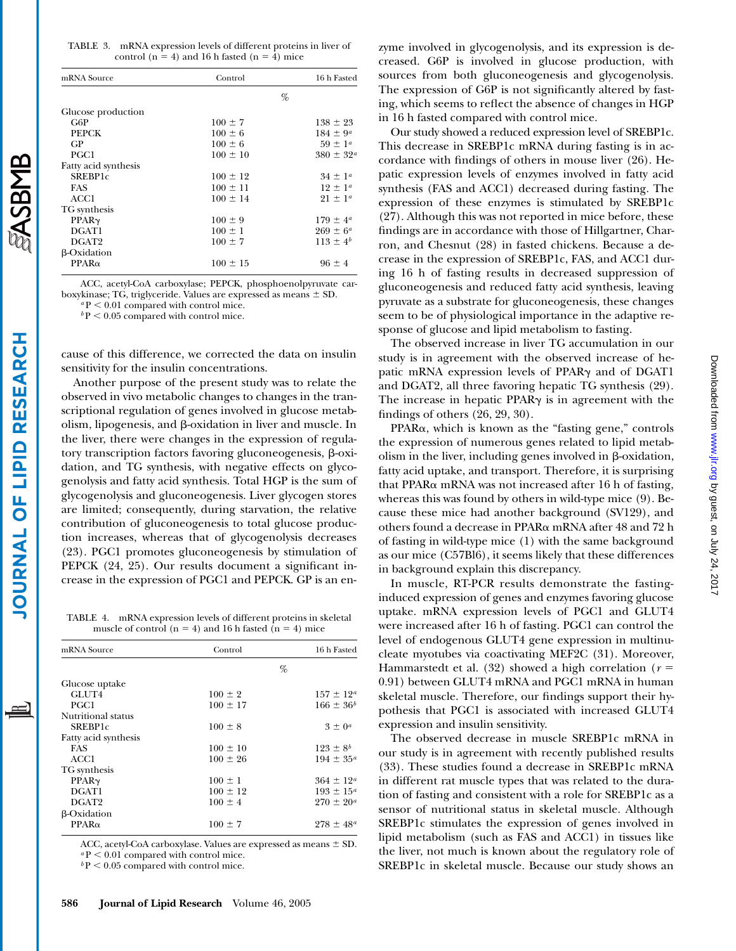TABLE 3. mRNA expression levels of different proteins in liver of control ( $n = 4$ ) and 16 h fasted ( $n = 4$ ) mice

| mRNA Source          | Control      | 16 h Fasted          |
|----------------------|--------------|----------------------|
|                      |              | $\%$                 |
| Glucose production   |              |                      |
| G6P                  | $100 \pm 7$  | $138 \pm 23$         |
| <b>PEPCK</b>         | $100 \pm 6$  | $184 \pm 9^{\circ}$  |
| GP.                  | $100 \pm 6$  | $59 \pm 1^a$         |
| PGC1                 | $100 \pm 10$ | $380 \pm 32^{\circ}$ |
| Fatty acid synthesis |              |                      |
| <b>SREBP1c</b>       | $100 \pm 12$ | $34 \pm 1^a$         |
| <b>FAS</b>           | $100 \pm 11$ | $12 \pm 1^a$         |
| ACC1                 | $100 \pm 14$ | $21 \pm 1^a$         |
| TG synthesis         |              |                      |
| PPAR <sub>Y</sub>    | $100 \pm 9$  | $179 \pm 4^{\circ}$  |
| DGAT1                | $100 \pm 1$  | $269 \pm 6^{\circ}$  |
| DGAT2                | $100 \pm 7$  | $113 \pm 4^{b}$      |
| <b>B-Oxidation</b>   |              |                      |
| $PPAR\alpha$         | $100 \pm 15$ | $96 \pm 4$           |

ACC, acetyl-CoA carboxylase; PEPCK, phosphoenolpyruvate carboxykinase; TG, triglyceride. Values are expressed as means  $\pm$  SD.

 $a$ P < 0.01 compared with control mice.

 $b$  P  $\leq$  0.05 compared with control mice.

cause of this difference, we corrected the data on insulin sensitivity for the insulin concentrations.

Another purpose of the present study was to relate the observed in vivo metabolic changes to changes in the transcriptional regulation of genes involved in glucose metabolism, lipogenesis, and  $\beta$ -oxidation in liver and muscle. In the liver, there were changes in the expression of regulatory transcription factors favoring gluconeogenesis,  $\beta$ -oxidation, and TG synthesis, with negative effects on glycogenolysis and fatty acid synthesis. Total HGP is the sum of glycogenolysis and gluconeogenesis. Liver glycogen stores are limited; consequently, during starvation, the relative contribution of gluconeogenesis to total glucose production increases, whereas that of glycogenolysis decreases (23). PGC1 promotes gluconeogenesis by stimulation of PEPCK (24, 25). Our results document a significant increase in the expression of PGC1 and PEPCK. GP is an en-

TABLE 4. mRNA expression levels of different proteins in skeletal muscle of control ( $n = 4$ ) and 16 h fasted ( $n = 4$ ) mice

| mRNA Source          | Control      | 16 h Fasted          |
|----------------------|--------------|----------------------|
|                      |              | %                    |
| Glucose uptake       |              |                      |
| GLUT4                | $100 \pm 2$  | $157 \pm 12^{\circ}$ |
| PGC1                 | $100 \pm 17$ | $166 \pm 36^{b}$     |
| Nutritional status   |              |                      |
| SREBP1c              | $100 \pm 8$  | $3 \pm 0^a$          |
| Fatty acid synthesis |              |                      |
| <b>FAS</b>           | $100 \pm 10$ | $123 \pm 8^{b}$      |
| ACC1                 | $100 \pm 26$ | $194 \pm 35^{\circ}$ |
| TG synthesis         |              |                      |
| PPAR <sub>Y</sub>    | $100 \pm 1$  | $364 \pm 12^{\circ}$ |
| DGAT1                | $100 \pm 12$ | $193 \pm 15^{\circ}$ |
| DGAT2                | $100 \pm 4$  | $270 \pm 20^a$       |
| $\beta$ -Oxidation   |              |                      |
| $PPAR\alpha$         | $100 \pm 7$  | $278 \pm 48^{\circ}$ |
|                      |              |                      |

ACC, acetyl-CoA carboxylase. Values are expressed as means  $\pm$  SD.  $aP < 0.01$  compared with control mice.

 $b$  P  $\leq$  0.05 compared with control mice.

Our study showed a reduced expression level of SREBP1c. This decrease in SREBP1c mRNA during fasting is in accordance with findings of others in mouse liver (26). Hepatic expression levels of enzymes involved in fatty acid synthesis (FAS and ACC1) decreased during fasting. The expression of these enzymes is stimulated by SREBP1c (27). Although this was not reported in mice before, these findings are in accordance with those of Hillgartner, Charron, and Chesnut (28) in fasted chickens. Because a decrease in the expression of SREBP1c, FAS, and ACC1 during 16 h of fasting results in decreased suppression of gluconeogenesis and reduced fatty acid synthesis, leaving pyruvate as a substrate for gluconeogenesis, these changes seem to be of physiological importance in the adaptive response of glucose and lipid metabolism to fasting.

The observed increase in liver TG accumulation in our study is in agreement with the observed increase of hepatic mRNA expression levels of PPAR $\gamma$  and of DGAT1 and DGAT2, all three favoring hepatic TG synthesis (29). The increase in hepatic PPAR $\gamma$  is in agreement with the findings of others (26, 29, 30).

 $PPAR\alpha$ , which is known as the "fasting gene," controls the expression of numerous genes related to lipid metabolism in the liver, including genes involved in  $\beta$ -oxidation, fatty acid uptake, and transport. Therefore, it is surprising that PPAR $\alpha$  mRNA was not increased after 16 h of fasting, whereas this was found by others in wild-type mice (9). Because these mice had another background (SV129), and others found a decrease in PPAR $\alpha$  mRNA after 48 and 72 h of fasting in wild-type mice (1) with the same background as our mice (C57Bl6), it seems likely that these differences in background explain this discrepancy.

In muscle, RT-PCR results demonstrate the fastinginduced expression of genes and enzymes favoring glucose uptake. mRNA expression levels of PGC1 and GLUT4 were increased after 16 h of fasting. PGC1 can control the level of endogenous GLUT4 gene expression in multinucleate myotubes via coactivating MEF2C (31). Moreover, Hammarstedt et al.  $(32)$  showed a high correlation ( $r =$ 0.91) between GLUT4 mRNA and PGC1 mRNA in human skeletal muscle. Therefore, our findings support their hypothesis that PGC1 is associated with increased GLUT4 expression and insulin sensitivity.

The observed decrease in muscle SREBP1c mRNA in our study is in agreement with recently published results (33). These studies found a decrease in SREBP1c mRNA in different rat muscle types that was related to the duration of fasting and consistent with a role for SREBP1c as a sensor of nutritional status in skeletal muscle. Although SREBP1c stimulates the expression of genes involved in lipid metabolism (such as FAS and ACC1) in tissues like the liver, not much is known about the regulatory role of SREBP1c in skeletal muscle. Because our study shows an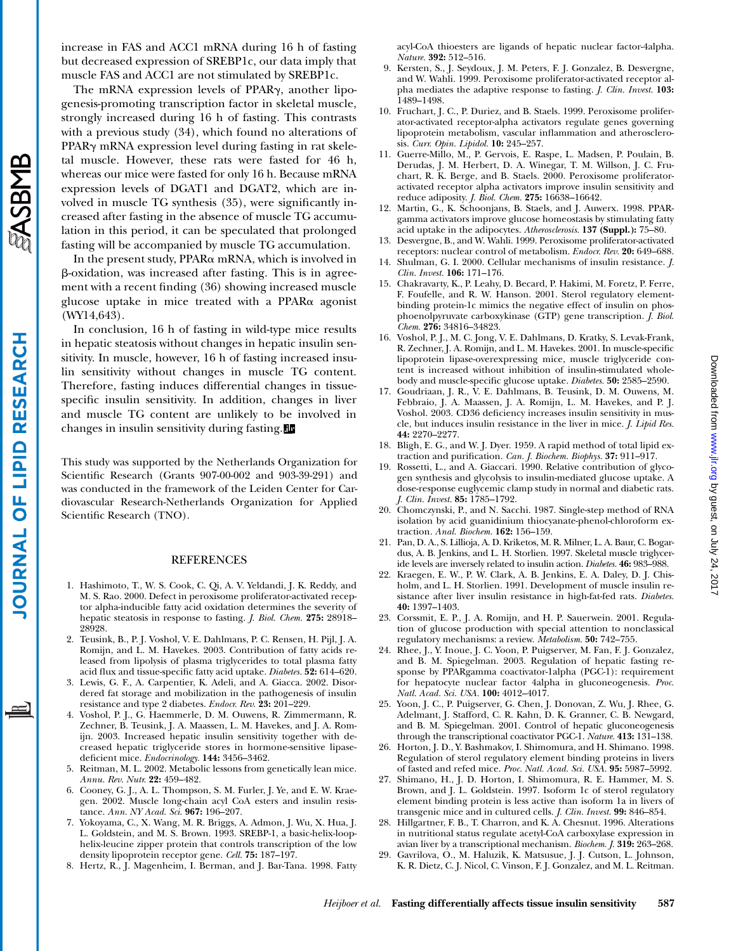ASBMB

increase in FAS and ACC1 mRNA during 16 h of fasting but decreased expression of SREBP1c, our data imply that muscle FAS and ACC1 are not stimulated by SREBP1c.

The mRNA expression levels of PPAR $\gamma$ , another lipogenesis-promoting transcription factor in skeletal muscle, strongly increased during 16 h of fasting. This contrasts with a previous study (34), which found no alterations of  $PPAR\gamma$  mRNA expression level during fasting in rat skeletal muscle. However, these rats were fasted for 46 h, whereas our mice were fasted for only 16 h. Because mRNA expression levels of DGAT1 and DGAT2, which are involved in muscle TG synthesis (35), were significantly increased after fasting in the absence of muscle TG accumulation in this period, it can be speculated that prolonged fasting will be accompanied by muscle TG accumulation.

In the present study,  $PPAR\alpha$  mRNA, which is involved in --oxidation, was increased after fasting. This is in agreement with a recent finding (36) showing increased muscle glucose uptake in mice treated with a PPAR $\alpha$  agonist (WY14,643).

In conclusion, 16 h of fasting in wild-type mice results in hepatic steatosis without changes in hepatic insulin sensitivity. In muscle, however, 16 h of fasting increased insulin sensitivity without changes in muscle TG content. Therefore, fasting induces differential changes in tissuespecific insulin sensitivity. In addition, changes in liver and muscle TG content are unlikely to be involved in changes in insulin sensitivity during fasting.

This study was supported by the Netherlands Organization for Scientific Research (Grants 907-00-002 and 903-39-291) and was conducted in the framework of the Leiden Center for Cardiovascular Research-Netherlands Organization for Applied Scientific Research (TNO).

#### REFERENCES

- 1. Hashimoto, T., W. S. Cook, C. Qi, A. V. Yeldandi, J. K. Reddy, and M. S. Rao. 2000. Defect in peroxisome proliferator-activated receptor alpha-inducible fatty acid oxidation determines the severity of hepatic steatosis in response to fasting. *J. Biol. Chem.* **275:** 28918– 28928.
- 2. Teusink, B., P. J. Voshol, V. E. Dahlmans, P. C. Rensen, H. Pijl, J. A. Romijn, and L. M. Havekes. 2003. Contribution of fatty acids released from lipolysis of plasma triglycerides to total plasma fatty acid flux and tissue-specific fatty acid uptake. *Diabetes.* **52:** 614–620.
- 3. Lewis, G. F., A. Carpentier, K. Adeli, and A. Giacca. 2002. Disordered fat storage and mobilization in the pathogenesis of insulin resistance and type 2 diabetes. *Endocr. Rev.* **23:** 201–229.
- 4. Voshol, P. J., G. Haemmerle, D. M. Ouwens, R. Zimmermann, R. Zechner, B. Teusink, J. A. Maassen, L. M. Havekes, and J. A. Romijn. 2003. Increased hepatic insulin sensitivity together with decreased hepatic triglyceride stores in hormone-sensitive lipasedeficient mice. *Endocrinology.* **144:** 3456–3462.
- 5. Reitman, M. L. 2002. Metabolic lessons from genetically lean mice. *Annu. Rev. Nutr.* **22:** 459–482.
- 6. Cooney, G. J., A. L. Thompson, S. M. Furler, J. Ye, and E. W. Kraegen. 2002. Muscle long-chain acyl CoA esters and insulin resistance. *Ann. NY Acad. Sci.* **967:** 196–207.
- 7. Yokoyama, C., X. Wang, M. R. Briggs, A. Admon, J. Wu, X. Hua, J. L. Goldstein, and M. S. Brown. 1993. SREBP-1, a basic-helix-loophelix-leucine zipper protein that controls transcription of the low density lipoprotein receptor gene. *Cell.* **75:** 187–197.
- 8. Hertz, R., J. Magenheim, I. Berman, and J. Bar-Tana. 1998. Fatty

acyl-CoA thioesters are ligands of hepatic nuclear factor-4alpha. *Nature.* **392:** 512–516.

- 9. Kersten, S., J. Seydoux, J. M. Peters, F. J. Gonzalez, B. Desvergne, and W. Wahli. 1999. Peroxisome proliferator-activated receptor alpha mediates the adaptive response to fasting. *J. Clin. Invest.* **103:** 1489–1498.
- 10. Fruchart, J. C., P. Duriez, and B. Staels. 1999. Peroxisome proliferator-activated receptor-alpha activators regulate genes governing lipoprotein metabolism, vascular inflammation and atherosclerosis. *Curr. Opin. Lipidol.* **10:** 245–257.
- 11. Guerre-Millo, M., P. Gervois, E. Raspe, L. Madsen, P. Poulain, B. Derudas, J. M. Herbert, D. A. Winegar, T. M. Willson, J. C. Fruchart, R. K. Berge, and B. Staels. 2000. Peroxisome proliferatoractivated receptor alpha activators improve insulin sensitivity and reduce adiposity. *J. Biol. Chem.* **275:** 16638–16642.
- 12. Martin, G., K. Schoonjans, B. Staels, and J. Auwerx. 1998. PPARgamma activators improve glucose homeostasis by stimulating fatty acid uptake in the adipocytes. *Atherosclerosis.* **137 (Suppl.):** 75–80.
- 13. Desvergne, B., and W. Wahli. 1999. Peroxisome proliferator-activated receptors: nuclear control of metabolism. *Endocr. Rev.* **20:** 649–688.
- 14. Shulman, G. I. 2000. Cellular mechanisms of insulin resistance. *J. Clin. Invest.* **106:** 171–176.
- 15. Chakravarty, K., P. Leahy, D. Becard, P. Hakimi, M. Foretz, P. Ferre, F. Foufelle, and R. W. Hanson. 2001. Sterol regulatory elementbinding protein-1c mimics the negative effect of insulin on phosphoenolpyruvate carboxykinase (GTP) gene transcription. *J. Biol. Chem.* **276:** 34816–34823.
- 16. Voshol, P. J., M. C. Jong, V. E. Dahlmans, D. Kratky, S. Levak-Frank, R. Zechner, J. A. Romijn, and L. M. Havekes. 2001. In muscle-specific lipoprotein lipase-overexpressing mice, muscle triglyceride content is increased without inhibition of insulin-stimulated wholebody and muscle-specific glucose uptake. *Diabetes.* **50:** 2585–2590.
- 17. Goudriaan, J. R., V. E. Dahlmans, B. Teusink, D. M. Ouwens, M. Febbraio, J. A. Maassen, J. A. Romijn, L. M. Havekes, and P. J. Voshol. 2003. CD36 deficiency increases insulin sensitivity in muscle, but induces insulin resistance in the liver in mice. *J. Lipid Res.* **44:** 2270–2277.
- 18. Bligh, E. G., and W. J. Dyer. 1959. A rapid method of total lipid extraction and purification. *Can. J. Biochem. Biophys.* **37:** 911–917.
- 19. Rossetti, L., and A. Giaccari. 1990. Relative contribution of glycogen synthesis and glycolysis to insulin-mediated glucose uptake. A dose-response euglycemic clamp study in normal and diabetic rats. *J. Clin. Invest.* **85:** 1785–1792.
- 20. Chomczynski, P., and N. Sacchi. 1987. Single-step method of RNA isolation by acid guanidinium thiocyanate-phenol-chloroform extraction. *Anal. Biochem.* **162:** 156–159.
- 21. Pan, D. A., S. Lillioja, A. D. Kriketos, M. R. Milner, L. A. Baur, C. Bogardus, A. B. Jenkins, and L. H. Storlien. 1997. Skeletal muscle triglyceride levels are inversely related to insulin action. *Diabetes.* **46:** 983–988.
- 22. Kraegen, E. W., P. W. Clark, A. B. Jenkins, E. A. Daley, D. J. Chisholm, and L. H. Storlien. 1991. Development of muscle insulin resistance after liver insulin resistance in high-fat-fed rats. *Diabetes.* **40:** 1397–1403.
- 23. Corssmit, E. P., J. A. Romijn, and H. P. Sauerwein. 2001. Regulation of glucose production with special attention to nonclassical regulatory mechanisms: a review. *Metabolism.* **50:** 742–755.
- 24. Rhee, J., Y. Inoue, J. C. Yoon, P. Puigserver, M. Fan, F. J. Gonzalez, and B. M. Spiegelman. 2003. Regulation of hepatic fasting response by PPARgamma coactivator-1alpha (PGC-1): requirement for hepatocyte nuclear factor 4alpha in gluconeogenesis. *Proc. Natl. Acad. Sci. USA.* **100:** 4012–4017.
- 25. Yoon, J. C., P. Puigserver, G. Chen, J. Donovan, Z. Wu, J. Rhee, G. Adelmant, J. Stafford, C. R. Kahn, D. K. Granner, C. B. Newgard, and B. M. Spiegelman. 2001. Control of hepatic gluconeogenesis through the transcriptional coactivator PGC-1. *Nature.* **413:** 131–138.
- 26. Horton, J. D., Y. Bashmakov, I. Shimomura, and H. Shimano. 1998. Regulation of sterol regulatory element binding proteins in livers of fasted and refed mice. *Proc. Natl. Acad. Sci. USA.* **95:** 5987–5992.
- 27. Shimano, H., J. D. Horton, I. Shimomura, R. E. Hammer, M. S. Brown, and J. L. Goldstein. 1997. Isoform 1c of sterol regulatory element binding protein is less active than isoform 1a in livers of transgenic mice and in cultured cells. *J. Clin. Invest.* **99:** 846–854.
- 28. Hillgartner, F. B., T. Charron, and K. A. Chesnut. 1996. Alterations in nutritional status regulate acetyl-CoA carboxylase expression in avian liver by a transcriptional mechanism. *Biochem. J.* **319:** 263–268.
- 29. Gavrilova, O., M. Haluzik, K. Matsusue, J. J. Cutson, L. Johnson, K. R. Dietz, C. J. Nicol, C. Vinson, F. J. Gonzalez, and M. L. Reitman.